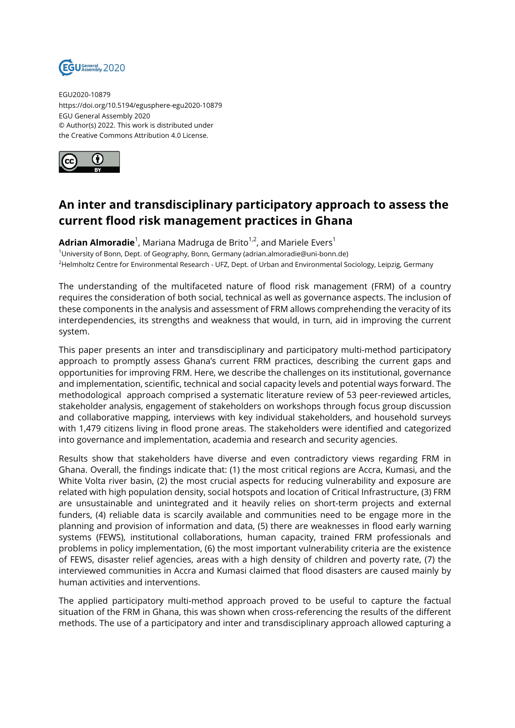

EGU2020-10879 https://doi.org/10.5194/egusphere-egu2020-10879 EGU General Assembly 2020 © Author(s) 2022. This work is distributed under the Creative Commons Attribution 4.0 License.



## **An inter and transdisciplinary participatory approach to assess the current flood risk management practices in Ghana**

**Adrian Almoradie**<sup>1</sup>, Mariana Madruga de Brito<sup>1,2</sup>, and Mariele Evers<sup>1</sup> <sup>1</sup>University of Bonn, Dept. of Geography, Bonn, Germany (adrian.almoradie@uni-bonn.de) <sup>2</sup>Helmholtz Centre for Environmental Research - UFZ, Dept. of Urban and Environmental Sociology, Leipzig, Germany

The understanding of the multifaceted nature of flood risk management (FRM) of a country requires the consideration of both social, technical as well as governance aspects. The inclusion of these components in the analysis and assessment of FRM allows comprehending the veracity of its interdependencies, its strengths and weakness that would, in turn, aid in improving the current system.

This paper presents an inter and transdisciplinary and participatory multi-method participatory approach to promptly assess Ghana's current FRM practices, describing the current gaps and opportunities for improving FRM. Here, we describe the challenges on its institutional, governance and implementation, scientific, technical and social capacity levels and potential ways forward. The methodological approach comprised a systematic literature review of 53 peer-reviewed articles, stakeholder analysis, engagement of stakeholders on workshops through focus group discussion and collaborative mapping, interviews with key individual stakeholders, and household surveys with 1,479 citizens living in flood prone areas. The stakeholders were identified and categorized into governance and implementation, academia and research and security agencies.

Results show that stakeholders have diverse and even contradictory views regarding FRM in Ghana. Overall, the findings indicate that: (1) the most critical regions are Accra, Kumasi, and the White Volta river basin, (2) the most crucial aspects for reducing vulnerability and exposure are related with high population density, social hotspots and location of Critical Infrastructure, (3) FRM are unsustainable and unintegrated and it heavily relies on short-term projects and external funders, (4) reliable data is scarcily available and communities need to be engage more in the planning and provision of information and data, (5) there are weaknesses in flood early warning systems (FEWS), institutional collaborations, human capacity, trained FRM professionals and problems in policy implementation, (6) the most important vulnerability criteria are the existence of FEWS, disaster relief agencies, areas with a high density of children and poverty rate, (7) the interviewed communities in Accra and Kumasi claimed that flood disasters are caused mainly by human activities and interventions.

The applied participatory multi-method approach proved to be useful to capture the factual situation of the FRM in Ghana, this was shown when cross-referencing the results of the different methods. The use of a participatory and inter and transdisciplinary approach allowed capturing a